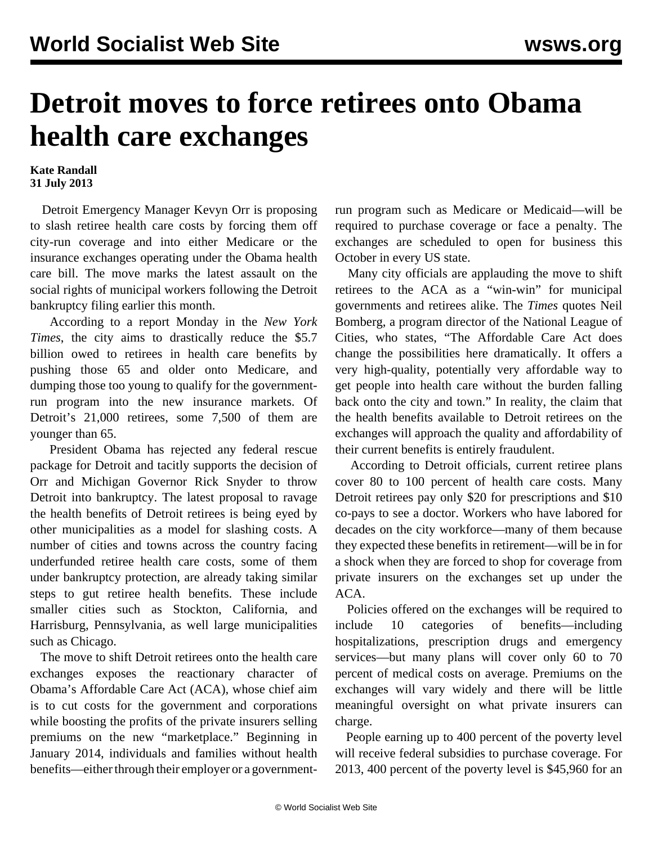## **Detroit moves to force retirees onto Obama health care exchanges**

## **Kate Randall 31 July 2013**

 Detroit Emergency Manager Kevyn Orr is proposing to slash retiree health care costs by forcing them off city-run coverage and into either Medicare or the insurance exchanges operating under the Obama health care bill. The move marks the latest assault on the social rights of municipal workers following the Detroit bankruptcy filing earlier this month.

 According to a report Monday in the *New York Times*, the city aims to drastically reduce the \$5.7 billion owed to retirees in health care benefits by pushing those 65 and older onto Medicare, and dumping those too young to qualify for the governmentrun program into the new insurance markets. Of Detroit's 21,000 retirees, some 7,500 of them are younger than 65.

 President Obama has rejected any federal rescue package for Detroit and tacitly supports the decision of Orr and Michigan Governor Rick Snyder to throw Detroit into bankruptcy. The latest proposal to ravage the health benefits of Detroit retirees is being eyed by other municipalities as a model for slashing costs. A number of cities and towns across the country facing underfunded retiree health care costs, some of them under bankruptcy protection, are already taking similar steps to gut retiree health benefits. These include smaller cities such as Stockton, California, and Harrisburg, Pennsylvania, as well large municipalities such as Chicago.

 The move to shift Detroit retirees onto the health care exchanges exposes the reactionary character of Obama's Affordable Care Act (ACA), whose chief aim is to cut costs for the government and corporations while boosting the profits of the private insurers selling premiums on the new "marketplace." Beginning in January 2014, individuals and families without health benefits—either through their employer or a governmentrun program such as Medicare or Medicaid—will be required to purchase coverage or face a penalty. The exchanges are scheduled to open for business this October in every US state.

 Many city officials are applauding the move to shift retirees to the ACA as a "win-win" for municipal governments and retirees alike. The *Times* quotes Neil Bomberg, a program director of the National League of Cities, who states, "The Affordable Care Act does change the possibilities here dramatically. It offers a very high-quality, potentially very affordable way to get people into health care without the burden falling back onto the city and town." In reality, the claim that the health benefits available to Detroit retirees on the exchanges will approach the quality and affordability of their current benefits is entirely fraudulent.

 According to Detroit officials, current retiree plans cover 80 to 100 percent of health care costs. Many Detroit retirees pay only \$20 for prescriptions and \$10 co-pays to see a doctor. Workers who have labored for decades on the city workforce—many of them because they expected these benefits in retirement—will be in for a shock when they are forced to shop for coverage from private insurers on the exchanges set up under the ACA.

 Policies offered on the exchanges will be required to include 10 categories of benefits—including hospitalizations, prescription drugs and emergency services—but many plans will cover only 60 to 70 percent of medical costs on average. Premiums on the exchanges will vary widely and there will be little meaningful oversight on what private insurers can charge.

 People earning up to 400 percent of the poverty level will receive federal subsidies to purchase coverage. For 2013, 400 percent of the poverty level is \$45,960 for an